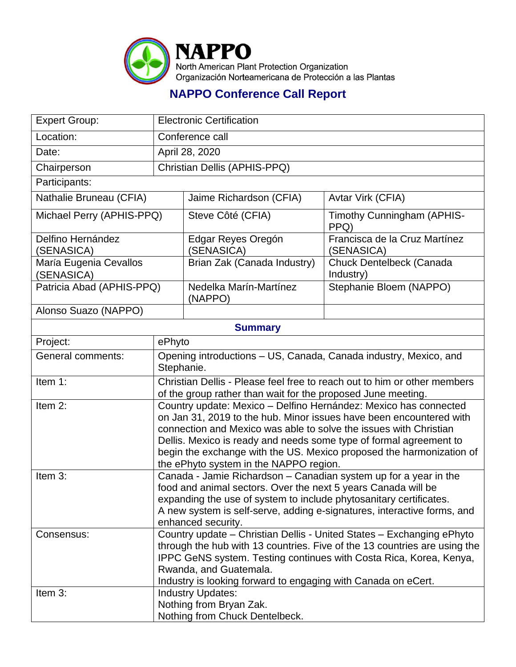

## **NAPPO Conference Call Report**

| <b>Expert Group:</b>                 | <b>Electronic Certification</b>                                                                                                                                                                                                                                                                                                                                                                      |                                   |                                             |  |
|--------------------------------------|------------------------------------------------------------------------------------------------------------------------------------------------------------------------------------------------------------------------------------------------------------------------------------------------------------------------------------------------------------------------------------------------------|-----------------------------------|---------------------------------------------|--|
| Location:                            | Conference call                                                                                                                                                                                                                                                                                                                                                                                      |                                   |                                             |  |
| Date:                                | April 28, 2020                                                                                                                                                                                                                                                                                                                                                                                       |                                   |                                             |  |
| Chairperson                          | Christian Dellis (APHIS-PPQ)                                                                                                                                                                                                                                                                                                                                                                         |                                   |                                             |  |
| Participants:                        |                                                                                                                                                                                                                                                                                                                                                                                                      |                                   |                                             |  |
| Nathalie Bruneau (CFIA)              |                                                                                                                                                                                                                                                                                                                                                                                                      | Jaime Richardson (CFIA)           | Avtar Virk (CFIA)                           |  |
| Michael Perry (APHIS-PPQ)            |                                                                                                                                                                                                                                                                                                                                                                                                      | Steve Côté (CFIA)                 | Timothy Cunningham (APHIS-<br>PPQ)          |  |
| Delfino Hernández<br>(SENASICA)      |                                                                                                                                                                                                                                                                                                                                                                                                      | Edgar Reyes Oregón<br>(SENASICA)  | Francisca de la Cruz Martínez<br>(SENASICA) |  |
| María Eugenia Cevallos<br>(SENASICA) |                                                                                                                                                                                                                                                                                                                                                                                                      | Brian Zak (Canada Industry)       | Chuck Dentelbeck (Canada<br>Industry)       |  |
| Patricia Abad (APHIS-PPQ)            |                                                                                                                                                                                                                                                                                                                                                                                                      | Nedelka Marín-Martínez<br>(NAPPO) | Stephanie Bloem (NAPPO)                     |  |
| Alonso Suazo (NAPPO)                 |                                                                                                                                                                                                                                                                                                                                                                                                      |                                   |                                             |  |
| <b>Summary</b>                       |                                                                                                                                                                                                                                                                                                                                                                                                      |                                   |                                             |  |
| Project:                             | ePhyto                                                                                                                                                                                                                                                                                                                                                                                               |                                   |                                             |  |
| <b>General comments:</b>             | Opening introductions - US, Canada, Canada industry, Mexico, and<br>Stephanie.                                                                                                                                                                                                                                                                                                                       |                                   |                                             |  |
| Item 1:                              | Christian Dellis - Please feel free to reach out to him or other members<br>of the group rather than wait for the proposed June meeting.                                                                                                                                                                                                                                                             |                                   |                                             |  |
| Item 2:                              | Country update: Mexico - Delfino Hernández: Mexico has connected<br>on Jan 31, 2019 to the hub. Minor issues have been encountered with<br>connection and Mexico was able to solve the issues with Christian<br>Dellis. Mexico is ready and needs some type of formal agreement to<br>begin the exchange with the US. Mexico proposed the harmonization of<br>the ePhyto system in the NAPPO region. |                                   |                                             |  |
| Item 3:                              | Canada - Jamie Richardson - Canadian system up for a year in the<br>food and animal sectors. Over the next 5 years Canada will be<br>expanding the use of system to include phytosanitary certificates.<br>A new system is self-serve, adding e-signatures, interactive forms, and<br>enhanced security.                                                                                             |                                   |                                             |  |
| Consensus:                           | Country update - Christian Dellis - United States - Exchanging ePhyto<br>through the hub with 13 countries. Five of the 13 countries are using the<br>IPPC GeNS system. Testing continues with Costa Rica, Korea, Kenya,<br>Rwanda, and Guatemala.<br>Industry is looking forward to engaging with Canada on eCert.                                                                                  |                                   |                                             |  |
| Item 3:                              | <b>Industry Updates:</b><br>Nothing from Bryan Zak.<br>Nothing from Chuck Dentelbeck.                                                                                                                                                                                                                                                                                                                |                                   |                                             |  |